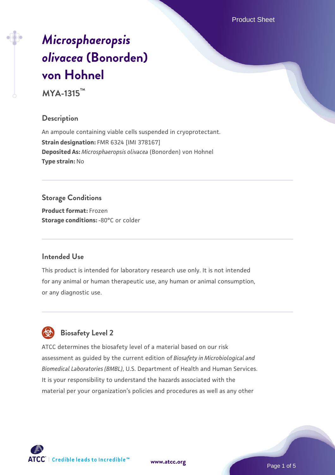Product Sheet

# *[Microsphaeropsis](https://www.atcc.org/products/mya-1315) [olivacea](https://www.atcc.org/products/mya-1315)* **[\(Bonorden\)](https://www.atcc.org/products/mya-1315) [von Hohnel](https://www.atcc.org/products/mya-1315)**

**MYA-1315™**

# **Description**

An ampoule containing viable cells suspended in cryoprotectant. **Strain designation:** FMR 6324 [IMI 378167] **Deposited As:** *Microsphaeropsis olivacea* (Bonorden) von Hohnel **Type strain:** No

# **Storage Conditions**

**Product format:** Frozen **Storage conditions: -80°C** or colder

# **Intended Use**

This product is intended for laboratory research use only. It is not intended for any animal or human therapeutic use, any human or animal consumption, or any diagnostic use.



# **Biosafety Level 2**

ATCC determines the biosafety level of a material based on our risk assessment as guided by the current edition of *Biosafety in Microbiological and Biomedical Laboratories (BMBL)*, U.S. Department of Health and Human Services. It is your responsibility to understand the hazards associated with the material per your organization's policies and procedures as well as any other

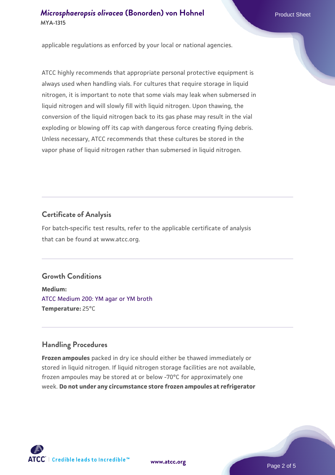# *[Microsphaeropsis olivacea](https://www.atcc.org/products/mya-1315)* [\(Bonorden\) von Hohnel](https://www.atcc.org/products/mya-1315) Product Sheet **MYA-1315**

applicable regulations as enforced by your local or national agencies.

ATCC highly recommends that appropriate personal protective equipment is always used when handling vials. For cultures that require storage in liquid nitrogen, it is important to note that some vials may leak when submersed in liquid nitrogen and will slowly fill with liquid nitrogen. Upon thawing, the conversion of the liquid nitrogen back to its gas phase may result in the vial exploding or blowing off its cap with dangerous force creating flying debris. Unless necessary, ATCC recommends that these cultures be stored in the vapor phase of liquid nitrogen rather than submersed in liquid nitrogen.

# **Certificate of Analysis**

For batch-specific test results, refer to the applicable certificate of analysis that can be found at www.atcc.org.

# **Growth Conditions**

**Medium:**  [ATCC Medium 200: YM agar or YM broth](https://www.atcc.org/-/media/product-assets/documents/microbial-media-formulations/2/0/0/atcc-medium-200.pdf?rev=ac40fd74dc13433a809367b0b9da30fc) **Temperature:** 25°C

# **Handling Procedures**

**Frozen ampoules** packed in dry ice should either be thawed immediately or stored in liquid nitrogen. If liquid nitrogen storage facilities are not available, frozen ampoules may be stored at or below -70°C for approximately one week. **Do not under any circumstance store frozen ampoules at refrigerator**



**[www.atcc.org](http://www.atcc.org)**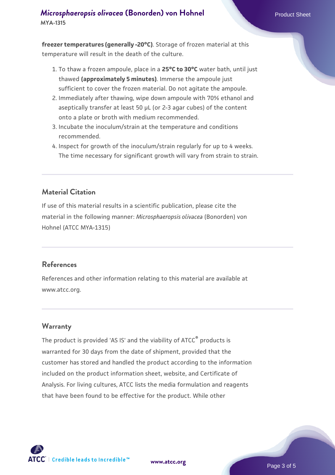# *[Microsphaeropsis olivacea](https://www.atcc.org/products/mya-1315)* [\(Bonorden\) von Hohnel](https://www.atcc.org/products/mya-1315) Product Sheet **MYA-1315**

**freezer temperatures (generally -20°C)**. Storage of frozen material at this temperature will result in the death of the culture.

- 1. To thaw a frozen ampoule, place in a **25°C to 30°C** water bath, until just thawed **(approximately 5 minutes)**. Immerse the ampoule just sufficient to cover the frozen material. Do not agitate the ampoule.
- 2. Immediately after thawing, wipe down ampoule with 70% ethanol and aseptically transfer at least 50 µL (or 2-3 agar cubes) of the content onto a plate or broth with medium recommended.
- 3. Incubate the inoculum/strain at the temperature and conditions recommended.
- 4. Inspect for growth of the inoculum/strain regularly for up to 4 weeks. The time necessary for significant growth will vary from strain to strain.

#### **Material Citation**

If use of this material results in a scientific publication, please cite the material in the following manner: *Microsphaeropsis olivacea* (Bonorden) von Hohnel (ATCC MYA-1315)

#### **References**

References and other information relating to this material are available at www.atcc.org.

#### **Warranty**

The product is provided 'AS IS' and the viability of ATCC<sup>®</sup> products is warranted for 30 days from the date of shipment, provided that the customer has stored and handled the product according to the information included on the product information sheet, website, and Certificate of Analysis. For living cultures, ATCC lists the media formulation and reagents that have been found to be effective for the product. While other



**[www.atcc.org](http://www.atcc.org)**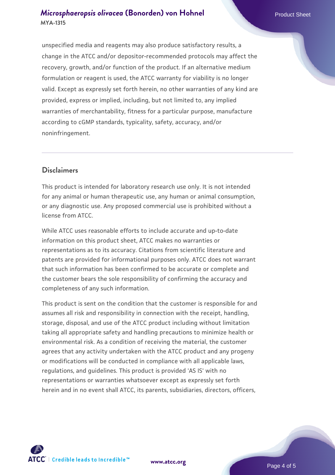## *[Microsphaeropsis olivacea](https://www.atcc.org/products/mya-1315)* [\(Bonorden\) von Hohnel](https://www.atcc.org/products/mya-1315) Product Sheet **MYA-1315**

unspecified media and reagents may also produce satisfactory results, a change in the ATCC and/or depositor-recommended protocols may affect the recovery, growth, and/or function of the product. If an alternative medium formulation or reagent is used, the ATCC warranty for viability is no longer valid. Except as expressly set forth herein, no other warranties of any kind are provided, express or implied, including, but not limited to, any implied warranties of merchantability, fitness for a particular purpose, manufacture according to cGMP standards, typicality, safety, accuracy, and/or noninfringement.

## **Disclaimers**

This product is intended for laboratory research use only. It is not intended for any animal or human therapeutic use, any human or animal consumption, or any diagnostic use. Any proposed commercial use is prohibited without a license from ATCC.

While ATCC uses reasonable efforts to include accurate and up-to-date information on this product sheet, ATCC makes no warranties or representations as to its accuracy. Citations from scientific literature and patents are provided for informational purposes only. ATCC does not warrant that such information has been confirmed to be accurate or complete and the customer bears the sole responsibility of confirming the accuracy and completeness of any such information.

This product is sent on the condition that the customer is responsible for and assumes all risk and responsibility in connection with the receipt, handling, storage, disposal, and use of the ATCC product including without limitation taking all appropriate safety and handling precautions to minimize health or environmental risk. As a condition of receiving the material, the customer agrees that any activity undertaken with the ATCC product and any progeny or modifications will be conducted in compliance with all applicable laws, regulations, and guidelines. This product is provided 'AS IS' with no representations or warranties whatsoever except as expressly set forth herein and in no event shall ATCC, its parents, subsidiaries, directors, officers,



**[www.atcc.org](http://www.atcc.org)**

Page 4 of 5